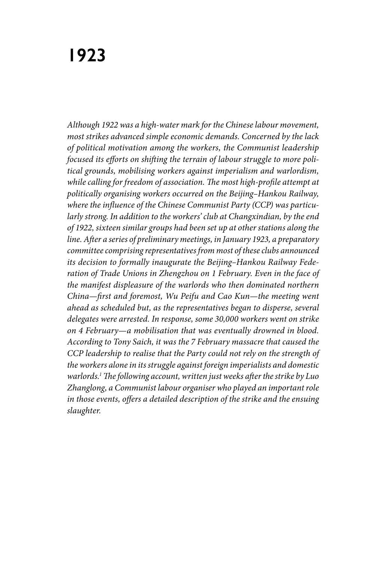# **1923**

*Although 1922 was a high-water mark for the Chinese labour movement, most strikes advanced simple economic demands. Concerned by the lack of political motivation among the workers, the Communist leadership focused its efforts on shifting the terrain of labour struggle to more political grounds, mobilising workers against imperialism and warlordism, while calling for freedom of association. The most high-profile attempt at politically organising workers occurred on the Beijing–Hankou Railway, where the influence of the Chinese Communist Party (CCP) was particularly strong. In addition to the workers' club at Changxindian, by the end of 1922, sixteen similar groups had been set up at other stations along the line. After a series of preliminary meetings, in January 1923, a preparatory committee comprising representatives from most of these clubs announced its decision to formally inaugurate the Beijing–Hankou Railway Federation of Trade Unions in Zhengzhou on 1 February. Even in the face of the manifest displeasure of the warlords who then dominated northern China—first and foremost, Wu Peifu and Cao Kun—the meeting went ahead as scheduled but, as the representatives began to disperse, several delegates were arrested. In response, some 30,000 workers went on strike on 4 February—a mobilisation that was eventually drowned in blood. According to Tony Saich, it was the 7 February massacre that caused the CCP leadership to realise that the Party could not rely on the strength of the workers alone in its struggle against foreign imperialists and domestic warlords.1 The following account, written just weeks after the strike by Luo Zhanglong, a Communist labour organiser who played an important role in those events, offers a detailed description of the strike and the ensuing slaughter.*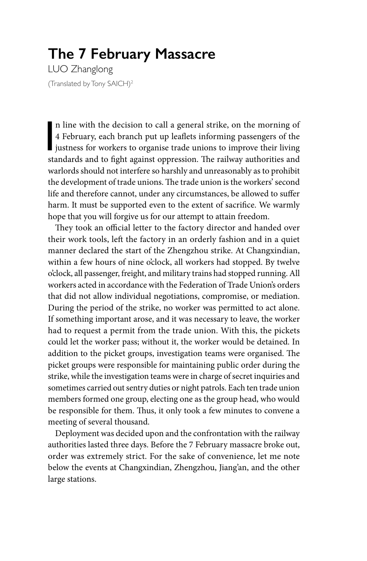## **The 7 February Massacre**

LUO Zhanglong (Translated by Tony SAICH)2

In line with the decision to call a general strike, on the morning of 4 February, each branch put up leaflets informing passengers of the justness for workers to organise trade unions to improve their living standards and n line with the decision to call a general strike, on the morning of 4 February, each branch put up leaflets informing passengers of the standards and to fight against oppression. The railway authorities and warlords should not interfere so harshly and unreasonably as to prohibit the development of trade unions. The trade union is the workers' second life and therefore cannot, under any circumstances, be allowed to suffer harm. It must be supported even to the extent of sacrifice. We warmly hope that you will forgive us for our attempt to attain freedom.

They took an official letter to the factory director and handed over their work tools, left the factory in an orderly fashion and in a quiet manner declared the start of the Zhengzhou strike. At Changxindian, within a few hours of nine o'clock, all workers had stopped. By twelve o'clock, all passenger, freight, and military trains had stopped running. All workers acted in accordance with the Federation of Trade Union's orders that did not allow individual negotiations, compromise, or mediation. During the period of the strike, no worker was permitted to act alone. If something important arose, and it was necessary to leave, the worker had to request a permit from the trade union. With this, the pickets could let the worker pass; without it, the worker would be detained. In addition to the picket groups, investigation teams were organised. The picket groups were responsible for maintaining public order during the strike, while the investigation teams were in charge of secret inquiries and sometimes carried out sentry duties or night patrols. Each ten trade union members formed one group, electing one as the group head, who would be responsible for them. Thus, it only took a few minutes to convene a meeting of several thousand.

Deployment was decided upon and the confrontation with the railway authorities lasted three days. Before the 7 February massacre broke out, order was extremely strict. For the sake of convenience, let me note below the events at Changxindian, Zhengzhou, Jiang'an, and the other large stations.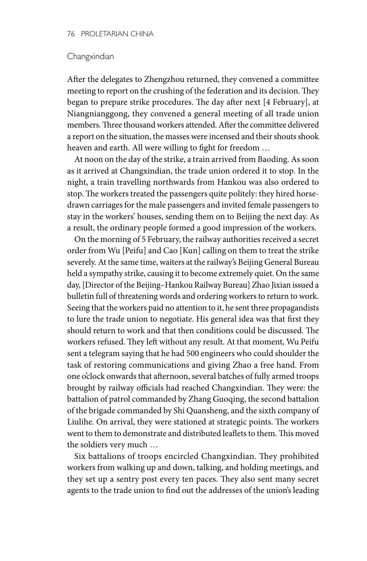#### **Changxindian**

After the delegates to Zhengzhou returned, they convened a committee meeting to report on the crushing of the federation and its decision. They began to prepare strike procedures. The day after next [4 February], at Niangnianggong, they convened a general meeting of all trade union members. Three thousand workers attended. After the committee delivered a report on the situation, the masses were incensed and their shouts shook heaven and earth. All were willing to fight for freedom …

At noon on the day of the strike, a train arrived from Baoding. As soon as it arrived at Changxindian, the trade union ordered it to stop. In the night, a train travelling northwards from Hankou was also ordered to stop. The workers treated the passengers quite politely: they hired horsedrawn carriages for the male passengers and invited female passengers to stay in the workers' houses, sending them on to Beijing the next day. As a result, the ordinary people formed a good impression of the workers.

On the morning of 5 February, the railway authorities received a secret order from Wu [Peifu] and Cao [Kun] calling on them to treat the strike severely. At the same time, waiters at the railway's Beijing General Bureau held a sympathy strike, causing it to become extremely quiet. On the same day, [Director of the Beijing–Hankou Railway Bureau] Zhao Jixian issued a bulletin full of threatening words and ordering workers to return to work. Seeing that the workers paid no attention to it, he sent three propagandists to lure the trade union to negotiate. His general idea was that first they should return to work and that then conditions could be discussed. The workers refused. They left without any result. At that moment, Wu Peifu sent a telegram saying that he had 500 engineers who could shoulder the task of restoring communications and giving Zhao a free hand. From one o'clock onwards that afternoon, several batches of fully armed troops brought by railway officials had reached Changxindian. They were: the battalion of patrol commanded by Zhang Guoqing, the second battalion of the brigade commanded by Shi Quansheng, and the sixth company of Liulihe. On arrival, they were stationed at strategic points. The workers went to them to demonstrate and distributed leaflets to them. This moved the soldiers very much …

Six battalions of troops encircled Changxindian. They prohibited workers from walking up and down, talking, and holding meetings, and they set up a sentry post every ten paces. They also sent many secret agents to the trade union to find out the addresses of the union's leading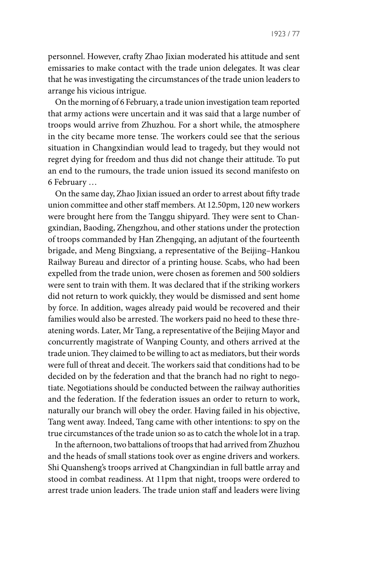personnel. However, crafty Zhao Jixian moderated his attitude and sent emissaries to make contact with the trade union delegates. It was clear that he was investigating the circumstances of the trade union leaders to arrange his vicious intrigue.

On the morning of 6 February, a trade union investigation team reported that army actions were uncertain and it was said that a large number of troops would arrive from Zhuzhou. For a short while, the atmosphere in the city became more tense. The workers could see that the serious situation in Changxindian would lead to tragedy, but they would not regret dying for freedom and thus did not change their attitude. To put an end to the rumours, the trade union issued its second manifesto on 6 February …

On the same day, Zhao Jixian issued an order to arrest about fifty trade union committee and other staff members. At 12.50pm, 120 new workers were brought here from the Tanggu shipyard. They were sent to Changxindian, Baoding, Zhengzhou, and other stations under the protection of troops commanded by Han Zhengqing, an adjutant of the fourteenth brigade, and Meng Bingxiang, a representative of the Beijing–Hankou Railway Bureau and director of a printing house. Scabs, who had been expelled from the trade union, were chosen as foremen and 500 soldiers were sent to train with them. It was declared that if the striking workers did not return to work quickly, they would be dismissed and sent home by force. In addition, wages already paid would be recovered and their families would also be arrested. The workers paid no heed to these threatening words. Later, Mr Tang, a representative of the Beijing Mayor and concurrently magistrate of Wanping County, and others arrived at the trade union. They claimed to be willing to act as mediators, but their words were full of threat and deceit. The workers said that conditions had to be decided on by the federation and that the branch had no right to negotiate. Negotiations should be conducted between the railway authorities and the federation. If the federation issues an order to return to work, naturally our branch will obey the order. Having failed in his objective, Tang went away. Indeed, Tang came with other intentions: to spy on the true circumstances of the trade union so as to catch the whole lot in a trap.

In the afternoon, two battalions of troops that had arrived from Zhuzhou and the heads of small stations took over as engine drivers and workers. Shi Quansheng's troops arrived at Changxindian in full battle array and stood in combat readiness. At 11pm that night, troops were ordered to arrest trade union leaders. The trade union staff and leaders were living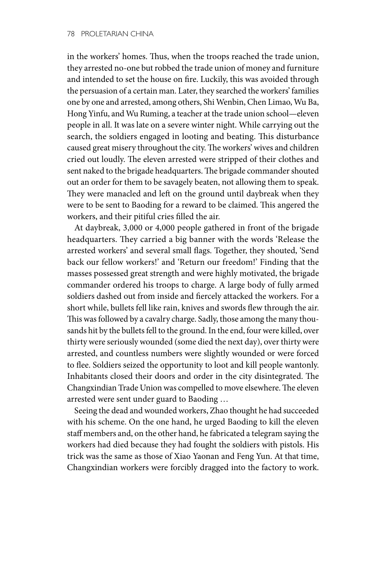in the workers' homes. Thus, when the troops reached the trade union, they arrested no-one but robbed the trade union of money and furniture and intended to set the house on fire. Luckily, this was avoided through the persuasion of a certain man. Later, they searched the workers' families one by one and arrested, among others, Shi Wenbin, Chen Limao, Wu Ba, Hong Yinfu, and Wu Ruming, a teacher at the trade union school—eleven people in all. It was late on a severe winter night. While carrying out the search, the soldiers engaged in looting and beating. This disturbance caused great misery throughout the city. The workers' wives and children cried out loudly. The eleven arrested were stripped of their clothes and sent naked to the brigade headquarters. The brigade commander shouted out an order for them to be savagely beaten, not allowing them to speak. They were manacled and left on the ground until daybreak when they were to be sent to Baoding for a reward to be claimed. This angered the workers, and their pitiful cries filled the air.

At daybreak, 3,000 or 4,000 people gathered in front of the brigade headquarters. They carried a big banner with the words 'Release the arrested workers' and several small flags. Together, they shouted, 'Send back our fellow workers!' and 'Return our freedom!' Finding that the masses possessed great strength and were highly motivated, the brigade commander ordered his troops to charge. A large body of fully armed soldiers dashed out from inside and fiercely attacked the workers. For a short while, bullets fell like rain, knives and swords flew through the air. This was followed by a cavalry charge. Sadly, those among the many thousands hit by the bullets fell to the ground. In the end, four were killed, over thirty were seriously wounded (some died the next day), over thirty were arrested, and countless numbers were slightly wounded or were forced to flee. Soldiers seized the opportunity to loot and kill people wantonly. Inhabitants closed their doors and order in the city disintegrated. The Changxindian Trade Union was compelled to move elsewhere. The eleven arrested were sent under guard to Baoding …

Seeing the dead and wounded workers, Zhao thought he had succeeded with his scheme. On the one hand, he urged Baoding to kill the eleven staff members and, on the other hand, he fabricated a telegram saying the workers had died because they had fought the soldiers with pistols. His trick was the same as those of Xiao Yaonan and Feng Yun. At that time, Changxindian workers were forcibly dragged into the factory to work.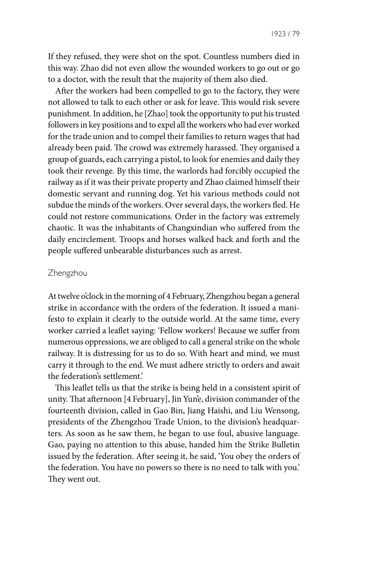1923 / 79

If they refused, they were shot on the spot. Countless numbers died in this way. Zhao did not even allow the wounded workers to go out or go to a doctor, with the result that the majority of them also died.

After the workers had been compelled to go to the factory, they were not allowed to talk to each other or ask for leave. This would risk severe punishment. In addition, he [Zhao] took the opportunity to put his trusted followers in key positions and to expel all the workers who had ever worked for the trade union and to compel their families to return wages that had already been paid. The crowd was extremely harassed. They organised a group of guards, each carrying a pistol, to look for enemies and daily they took their revenge. By this time, the warlords had forcibly occupied the railway as if it was their private property and Zhao claimed himself their domestic servant and running dog. Yet his various methods could not subdue the minds of the workers. Over several days, the workers fled. He could not restore communications. Order in the factory was extremely chaotic. It was the inhabitants of Changxindian who suffered from the daily encirclement. Troops and horses walked back and forth and the people suffered unbearable disturbances such as arrest.

#### **Zhengzhou**

At twelve o'clock in the morning of 4 February, Zhengzhou began a general strike in accordance with the orders of the federation. It issued a manifesto to explain it clearly to the outside world. At the same time, every worker carried a leaflet saying: 'Fellow workers! Because we suffer from numerous oppressions, we are obliged to call a general strike on the whole railway. It is distressing for us to do so. With heart and mind, we must carry it through to the end. We must adhere strictly to orders and await the federation's settlement.'

This leaflet tells us that the strike is being held in a consistent spirit of unity. That afternoon [4 February], Jin Yun'e, division commander of the fourteenth division, called in Gao Bin, Jiang Haishi, and Liu Wensong, presidents of the Zhengzhou Trade Union, to the division's headquarters. As soon as he saw them, he began to use foul, abusive language. Gao, paying no attention to this abuse, handed him the Strike Bulletin issued by the federation. After seeing it, he said, 'You obey the orders of the federation. You have no powers so there is no need to talk with you.' They went out.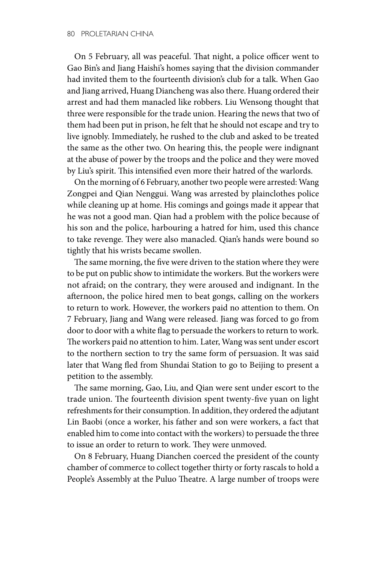On 5 February, all was peaceful. That night, a police officer went to Gao Bin's and Jiang Haishi's homes saying that the division commander had invited them to the fourteenth division's club for a talk. When Gao and Jiang arrived, Huang Diancheng was also there. Huang ordered their arrest and had them manacled like robbers. Liu Wensong thought that three were responsible for the trade union. Hearing the news that two of them had been put in prison, he felt that he should not escape and try to live ignobly. Immediately, he rushed to the club and asked to be treated the same as the other two. On hearing this, the people were indignant at the abuse of power by the troops and the police and they were moved by Liu's spirit. This intensified even more their hatred of the warlords.

On the morning of 6 February, another two people were arrested: Wang Zongpei and Qian Nenggui. Wang was arrested by plainclothes police while cleaning up at home. His comings and goings made it appear that he was not a good man. Qian had a problem with the police because of his son and the police, harbouring a hatred for him, used this chance to take revenge. They were also manacled. Qian's hands were bound so tightly that his wrists became swollen.

The same morning, the five were driven to the station where they were to be put on public show to intimidate the workers. But the workers were not afraid; on the contrary, they were aroused and indignant. In the afternoon, the police hired men to beat gongs, calling on the workers to return to work. However, the workers paid no attention to them. On 7 February, Jiang and Wang were released. Jiang was forced to go from door to door with a white flag to persuade the workers to return to work. The workers paid no attention to him. Later, Wang was sent under escort to the northern section to try the same form of persuasion. It was said later that Wang fled from Shundai Station to go to Beijing to present a petition to the assembly.

The same morning, Gao, Liu, and Qian were sent under escort to the trade union. The fourteenth division spent twenty-five yuan on light refreshments for their consumption. In addition, they ordered the adjutant Lin Baobi (once a worker, his father and son were workers, a fact that enabled him to come into contact with the workers) to persuade the three to issue an order to return to work. They were unmoved.

On 8 February, Huang Dianchen coerced the president of the county chamber of commerce to collect together thirty or forty rascals to hold a People's Assembly at the Puluo Theatre. A large number of troops were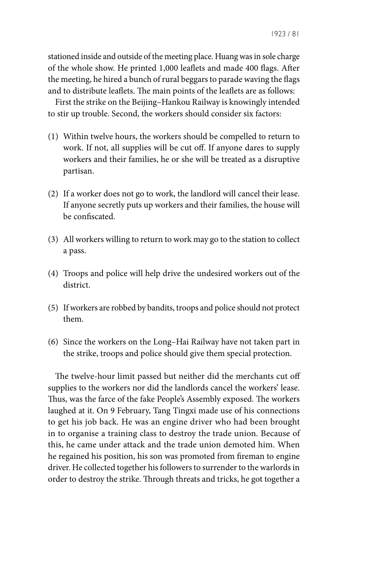stationed inside and outside of the meeting place. Huang was in sole charge of the whole show. He printed 1,000 leaflets and made 400 flags. After the meeting, he hired a bunch of rural beggars to parade waving the flags and to distribute leaflets. The main points of the leaflets are as follows:

First the strike on the Beijing–Hankou Railway is knowingly intended to stir up trouble. Second, the workers should consider six factors:

- (1) Within twelve hours, the workers should be compelled to return to work. If not, all supplies will be cut off. If anyone dares to supply workers and their families, he or she will be treated as a disruptive partisan.
- (2) If a worker does not go to work, the landlord will cancel their lease. If anyone secretly puts up workers and their families, the house will be confiscated.
- (3) All workers willing to return to work may go to the station to collect a pass.
- (4) Troops and police will help drive the undesired workers out of the district.
- (5) If workers are robbed by bandits, troops and police should not protect them.
- (6) Since the workers on the Long–Hai Railway have not taken part in the strike, troops and police should give them special protection.

The twelve-hour limit passed but neither did the merchants cut off supplies to the workers nor did the landlords cancel the workers' lease. Thus, was the farce of the fake People's Assembly exposed. The workers laughed at it. On 9 February, Tang Tingxi made use of his connections to get his job back. He was an engine driver who had been brought in to organise a training class to destroy the trade union. Because of this, he came under attack and the trade union demoted him. When he regained his position, his son was promoted from fireman to engine driver. He collected together his followers to surrender to the warlords in order to destroy the strike. Through threats and tricks, he got together a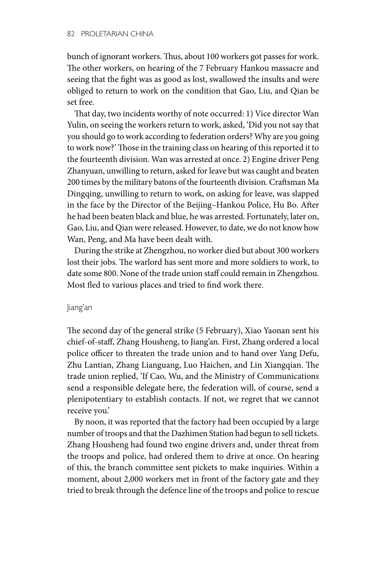bunch of ignorant workers. Thus, about 100 workers got passes for work. The other workers, on hearing of the 7 February Hankou massacre and seeing that the fight was as good as lost, swallowed the insults and were obliged to return to work on the condition that Gao, Liu, and Qian be set free.

That day, two incidents worthy of note occurred: 1) Vice director Wan Yulin, on seeing the workers return to work, asked, 'Did you not say that you should go to work according to federation orders? Why are you going to work now?' Those in the training class on hearing of this reported it to the fourteenth division. Wan was arrested at once. 2) Engine driver Peng Zhanyuan, unwilling to return, asked for leave but was caught and beaten 200 times by the military batons of the fourteenth division. Craftsman Ma Dingqing, unwilling to return to work, on asking for leave, was slapped in the face by the Director of the Beijing–Hankou Police, Hu Bo. After he had been beaten black and blue, he was arrested. Fortunately, later on, Gao, Liu, and Qian were released. However, to date, we do not know how Wan, Peng, and Ma have been dealt with.

During the strike at Zhengzhou, no worker died but about 300 workers lost their jobs. The warlord has sent more and more soldiers to work, to date some 800. None of the trade union staff could remain in Zhengzhou. Most fled to various places and tried to find work there.

#### Jiang'an

The second day of the general strike (5 February), Xiao Yaonan sent his chief-of-staff, Zhang Housheng, to Jiang'an. First, Zhang ordered a local police officer to threaten the trade union and to hand over Yang Defu, Zhu Lantian, Zhang Lianguang, Luo Haichen, and Lin Xiangqian. The trade union replied, 'If Cao, Wu, and the Ministry of Communications send a responsible delegate here, the federation will, of course, send a plenipotentiary to establish contacts. If not, we regret that we cannot receive you.'

By noon, it was reported that the factory had been occupied by a large number of troops and that the Dazhimen Station had begun to sell tickets. Zhang Housheng had found two engine drivers and, under threat from the troops and police, had ordered them to drive at once. On hearing of this, the branch committee sent pickets to make inquiries. Within a moment, about 2,000 workers met in front of the factory gate and they tried to break through the defence line of the troops and police to rescue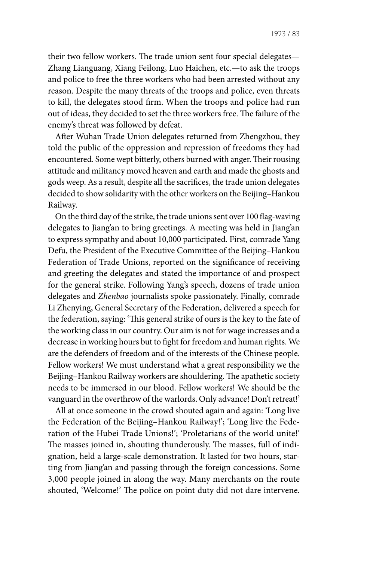their two fellow workers. The trade union sent four special delegates— Zhang Lianguang, Xiang Feilong, Luo Haichen, etc.—to ask the troops and police to free the three workers who had been arrested without any reason. Despite the many threats of the troops and police, even threats to kill, the delegates stood firm. When the troops and police had run out of ideas, they decided to set the three workers free. The failure of the enemy's threat was followed by defeat.

After Wuhan Trade Union delegates returned from Zhengzhou, they told the public of the oppression and repression of freedoms they had encountered. Some wept bitterly, others burned with anger. Their rousing attitude and militancy moved heaven and earth and made the ghosts and gods weep. As a result, despite all the sacrifices, the trade union delegates decided to show solidarity with the other workers on the Beijing–Hankou Railway.

On the third day of the strike, the trade unions sent over 100 flag-waving delegates to Jiang'an to bring greetings. A meeting was held in Jiang'an to express sympathy and about 10,000 participated. First, comrade Yang Defu, the President of the Executive Committee of the Beijing–Hankou Federation of Trade Unions, reported on the significance of receiving and greeting the delegates and stated the importance of and prospect for the general strike. Following Yang's speech, dozens of trade union delegates and *Zhenbao* journalists spoke passionately. Finally, comrade Li Zhenying, General Secretary of the Federation, delivered a speech for the federation, saying: 'This general strike of ours is the key to the fate of the working class in our country. Our aim is not for wage increases and a decrease in working hours but to fight for freedom and human rights. We are the defenders of freedom and of the interests of the Chinese people. Fellow workers! We must understand what a great responsibility we the Beijing–Hankou Railway workers are shouldering. The apathetic society needs to be immersed in our blood. Fellow workers! We should be the vanguard in the overthrow of the warlords. Only advance! Don't retreat!'

All at once someone in the crowd shouted again and again: 'Long live the Federation of the Beijing–Hankou Railway!'; 'Long live the Federation of the Hubei Trade Unions!'; 'Proletarians of the world unite!' The masses joined in, shouting thunderously. The masses, full of indignation, held a large-scale demonstration. It lasted for two hours, starting from Jiang'an and passing through the foreign concessions. Some 3,000 people joined in along the way. Many merchants on the route shouted, 'Welcome!' The police on point duty did not dare intervene.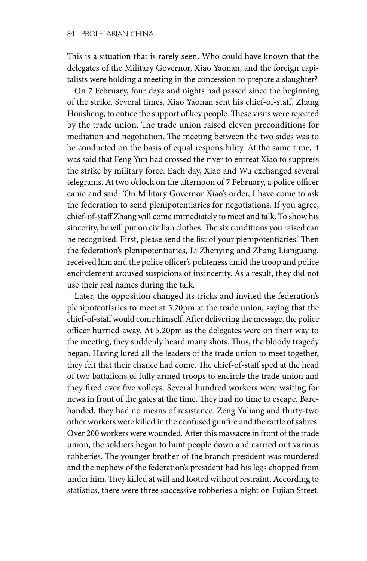This is a situation that is rarely seen. Who could have known that the delegates of the Military Governor, Xiao Yaonan, and the foreign capitalists were holding a meeting in the concession to prepare a slaughter?

On 7 February, four days and nights had passed since the beginning of the strike. Several times, Xiao Yaonan sent his chief-of-staff, Zhang Housheng, to entice the support of key people. These visits were rejected by the trade union. The trade union raised eleven preconditions for mediation and negotiation. The meeting between the two sides was to be conducted on the basis of equal responsibility. At the same time, it was said that Feng Yun had crossed the river to entreat Xiao to suppress the strike by military force. Each day, Xiao and Wu exchanged several telegrams. At two o'clock on the afternoon of 7 February, a police officer came and said: 'On Military Governor Xiao's order, I have come to ask the federation to send plenipotentiaries for negotiations. If you agree, chief-of-staff Zhang will come immediately to meet and talk. To show his sincerity, he will put on civilian clothes. The six conditions you raised can be recognised. First, please send the list of your plenipotentiaries.' Then the federation's plenipotentiaries, Li Zhenying and Zhang Lianguang, received him and the police officer's politeness amid the troop and police encirclement aroused suspicions of insincerity. As a result, they did not use their real names during the talk.

Later, the opposition changed its tricks and invited the federation's plenipotentiaries to meet at 5.20pm at the trade union, saying that the chief-of-staff would come himself. After delivering the message, the police officer hurried away. At 5.20pm as the delegates were on their way to the meeting, they suddenly heard many shots. Thus, the bloody tragedy began. Having lured all the leaders of the trade union to meet together, they felt that their chance had come. The chief-of-staff sped at the head of two battalions of fully armed troops to encircle the trade union and they fired over five volleys. Several hundred workers were waiting for news in front of the gates at the time. They had no time to escape. Barehanded, they had no means of resistance. Zeng Yuliang and thirty-two other workers were killed in the confused gunfire and the rattle of sabres. Over 200 workers were wounded. After this massacre in front of the trade union, the soldiers began to hunt people down and carried out various robberies. The younger brother of the branch president was murdered and the nephew of the federation's president had his legs chopped from under him. They killed at will and looted without restraint. According to statistics, there were three successive robberies a night on Fujian Street.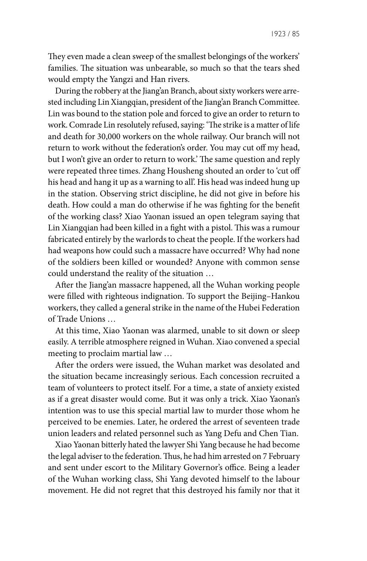1923 / 85

They even made a clean sweep of the smallest belongings of the workers' families. The situation was unbearable, so much so that the tears shed would empty the Yangzi and Han rivers.

During the robbery at the Jiang'an Branch, about sixty workers were arrested including Lin Xiangqian, president of the Jiang'an Branch Committee. Lin was bound to the station pole and forced to give an order to return to work. Comrade Lin resolutely refused, saying: 'The strike is a matter of life and death for 30,000 workers on the whole railway. Our branch will not return to work without the federation's order. You may cut off my head, but I won't give an order to return to work.' The same question and reply were repeated three times. Zhang Housheng shouted an order to 'cut off his head and hang it up as a warning to all'. His head was indeed hung up in the station. Observing strict discipline, he did not give in before his death. How could a man do otherwise if he was fighting for the benefit of the working class? Xiao Yaonan issued an open telegram saying that Lin Xiangqian had been killed in a fight with a pistol. This was a rumour fabricated entirely by the warlords to cheat the people. If the workers had had weapons how could such a massacre have occurred? Why had none of the soldiers been killed or wounded? Anyone with common sense could understand the reality of the situation …

After the Jiang'an massacre happened, all the Wuhan working people were filled with righteous indignation. To support the Beijing–Hankou workers, they called a general strike in the name of the Hubei Federation of Trade Unions …

At this time, Xiao Yaonan was alarmed, unable to sit down or sleep easily. A terrible atmosphere reigned in Wuhan. Xiao convened a special meeting to proclaim martial law …

After the orders were issued, the Wuhan market was desolated and the situation became increasingly serious. Each concession recruited a team of volunteers to protect itself. For a time, a state of anxiety existed as if a great disaster would come. But it was only a trick. Xiao Yaonan's intention was to use this special martial law to murder those whom he perceived to be enemies. Later, he ordered the arrest of seventeen trade union leaders and related personnel such as Yang Defu and Chen Tian.

Xiao Yaonan bitterly hated the lawyer Shi Yang because he had become the legal adviser to the federation. Thus, he had him arrested on 7 February and sent under escort to the Military Governor's office. Being a leader of the Wuhan working class, Shi Yang devoted himself to the labour movement. He did not regret that this destroyed his family nor that it